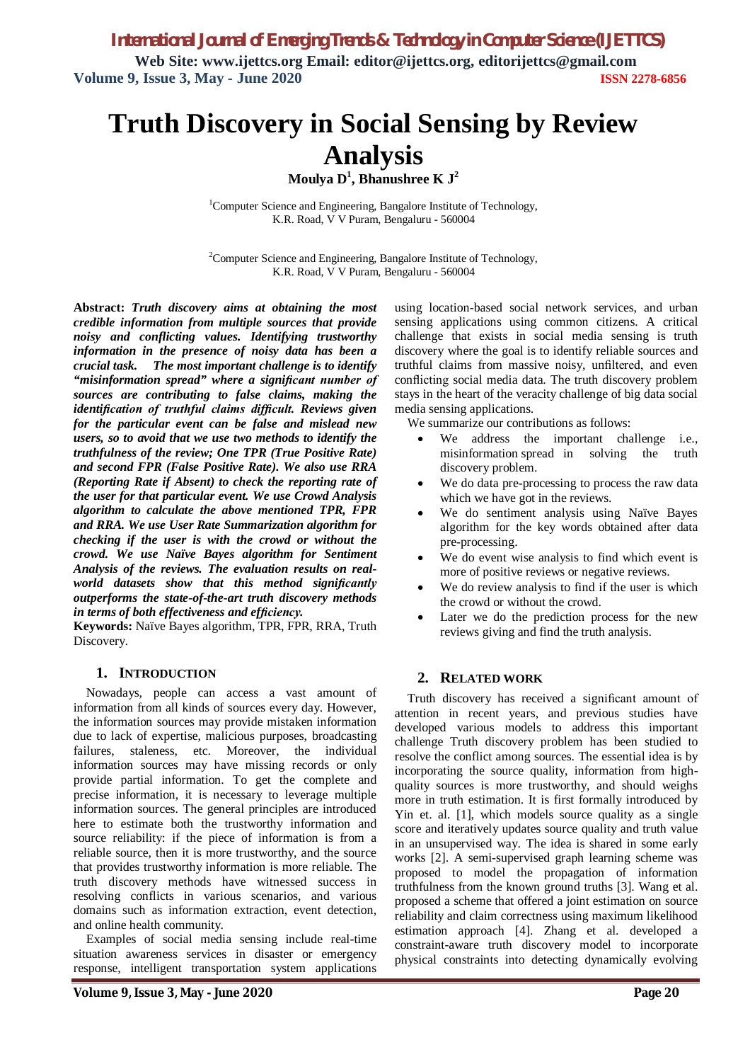# **Truth Discovery in Social Sensing by Review Analysis**

**Moulya D<sup>1</sup> , Bhanushree K J<sup>2</sup>**

 $1$ Computer Science and Engineering, Bangalore Institute of Technology, K.R. Road, V V Puram, Bengaluru - 560004

<sup>2</sup>Computer Science and Engineering, Bangalore Institute of Technology, K.R. Road, V V Puram, Bengaluru - 560004

**Abstract:** *Truth discovery aims at obtaining the most credible information from multiple sources that provide noisy and conflicting values. Identifying trustworthy information in the presence of noisy data has been a crucial task. The most important challenge is to identify "misinformation spread" where a significant number of sources are contributing to false claims, making the identification of truthful claims difficult. Reviews given for the particular event can be false and mislead new users, so to avoid that we use two methods to identify the truthfulness of the review; One TPR (True Positive Rate) and second FPR (False Positive Rate). We also use RRA (Reporting Rate if Absent) to check the reporting rate of the user for that particular event. We use Crowd Analysis algorithm to calculate the above mentioned TPR, FPR and RRA. We use User Rate Summarization algorithm for checking if the user is with the crowd or without the crowd. We use Naïve Bayes algorithm for Sentiment Analysis of the reviews. The evaluation results on realworld datasets show that this method significantly outperforms the state-of-the-art truth discovery methods in terms of both effectiveness and efficiency.*

**Keywords:** Naïve Bayes algorithm, TPR, FPR, RRA, Truth Discovery.

#### **1. INTRODUCTION**

Nowadays, people can access a vast amount of information from all kinds of sources every day. However, the information sources may provide mistaken information due to lack of expertise, malicious purposes, broadcasting failures, staleness, etc. Moreover, the individual information sources may have missing records or only provide partial information. To get the complete and precise information, it is necessary to leverage multiple information sources. The general principles are introduced here to estimate both the trustworthy information and source reliability: if the piece of information is from a reliable source, then it is more trustworthy, and the source that provides trustworthy information is more reliable. The truth discovery methods have witnessed success in resolving conflicts in various scenarios, and various domains such as information extraction, event detection, and online health community.

Examples of social media sensing include real-time situation awareness services in disaster or emergency response, intelligent transportation system applications

using location-based social network services, and urban sensing applications using common citizens. A critical challenge that exists in social media sensing is truth discovery where the goal is to identify reliable sources and truthful claims from massive noisy, unfiltered, and even conflicting social media data. The truth discovery problem stays in the heart of the veracity challenge of big data social media sensing applications.

We summarize our contributions as follows:

- We address the important challenge *i.e.*, misinformation spread in solving the truth discovery problem.
- We do data pre-processing to process the raw data which we have got in the reviews.
- We do sentiment analysis using Naïve Bayes algorithm for the key words obtained after data pre-processing.
- We do event wise analysis to find which event is more of positive reviews or negative reviews.
- We do review analysis to find if the user is which the crowd or without the crowd.
- Later we do the prediction process for the new reviews giving and find the truth analysis.

#### **2. RELATED WORK**

Truth discovery has received a significant amount of attention in recent years, and previous studies have developed various models to address this important challenge Truth discovery problem has been studied to resolve the conflict among sources. The essential idea is by incorporating the source quality, information from highquality sources is more trustworthy, and should weighs more in truth estimation. It is first formally introduced by Yin et. al. [1], which models source quality as a single score and iteratively updates source quality and truth value in an unsupervised way. The idea is shared in some early works [2]. A semi-supervised graph learning scheme was proposed to model the propagation of information truthfulness from the known ground truths [3]. Wang et al. proposed a scheme that offered a joint estimation on source reliability and claim correctness using maximum likelihood estimation approach [4]. Zhang et al. developed a constraint-aware truth discovery model to incorporate physical constraints into detecting dynamically evolving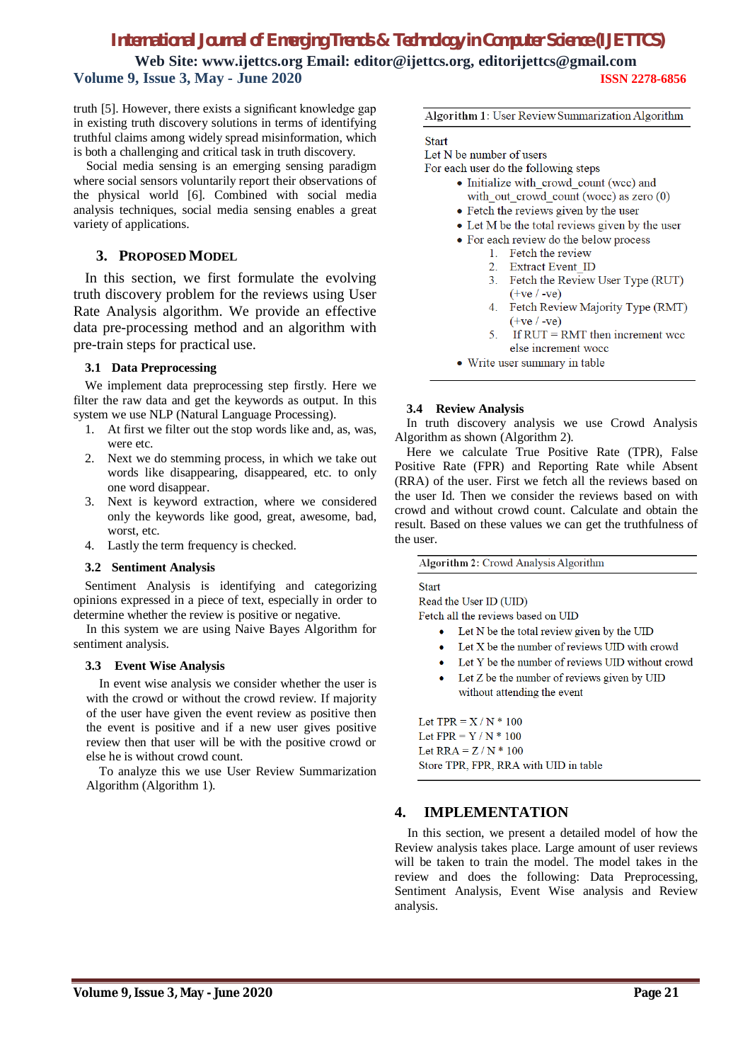# *International Journal of Emerging Trends & Technology in Computer Science (IJETTCS)*

**Web Site: www.ijettcs.org Email: editor@ijettcs.org, editorijettcs@gmail.com Volume 9, Issue 3, May - June 2020 ISSN 2278-6856**

truth [5]. However, there exists a significant knowledge gap in existing truth discovery solutions in terms of identifying truthful claims among widely spread misinformation, which is both a challenging and critical task in truth discovery.

Social media sensing is an emerging sensing paradigm where social sensors voluntarily report their observations of the physical world [6]. Combined with social media analysis techniques, social media sensing enables a great variety of applications.

## **3. PROPOSED MODEL**

In this section, we first formulate the evolving truth discovery problem for the reviews using User Rate Analysis algorithm. We provide an effective data pre-processing method and an algorithm with pre-train steps for practical use.

#### **3.1 Data Preprocessing**

We implement data preprocessing step firstly. Here we filter the raw data and get the keywords as output. In this system we use NLP (Natural Language Processing).

- 1. At first we filter out the stop words like and, as, was, were etc.
- 2. Next we do stemming process, in which we take out words like disappearing, disappeared, etc. to only one word disappear.
- 3. Next is keyword extraction, where we considered only the keywords like good, great, awesome, bad, worst, etc.
- 4. Lastly the term frequency is checked.

#### **3.2 Sentiment Analysis**

Sentiment Analysis is identifying and categorizing opinions expressed in a piece of text, especially in order to determine whether the review is positive or negative.

In this system we are using Naive Bayes Algorithm for sentiment analysis.

#### **3.3 Event Wise Analysis**

In event wise analysis we consider whether the user is with the crowd or without the crowd review. If majority of the user have given the event review as positive then the event is positive and if a new user gives positive review then that user will be with the positive crowd or else he is without crowd count.

To analyze this we use User Review Summarization Algorithm (Algorithm 1).

Algorithm 1: User Review Summarization Algorithm

Start

Let N be number of users

For each user do the following steps

- Initialize with crowd count (wcc) and with out crowd count (wocc) as zero  $(0)$
- Fetch the reviews given by the user
- Let M be the total reviews given by the user
- For each review do the below process
	- 1. Fetch the review
		- 2. Extract Event ID
		- 3. Fetch the Review User Type (RUT)  $(+ve/-ve)$
		- 4. Fetch Review Majority Type (RMT)  $(+ve / -ve)$
		- 5. If  $RUT = RMT$  then increment wee else increment wocc
- Write user summary in table

#### **3.4 Review Analysis**

In truth discovery analysis we use Crowd Analysis Algorithm as shown (Algorithm 2).

Here we calculate True Positive Rate (TPR), False Positive Rate (FPR) and Reporting Rate while Absent (RRA) of the user. First we fetch all the reviews based on the user Id. Then we consider the reviews based on with crowd and without crowd count. Calculate and obtain the result. Based on these values we can get the truthfulness of the user.

Algorithm 2: Crowd Analysis Algorithm

**Start** 

Read the User ID (UID)

Fetch all the reviews based on UID

- Let N be the total review given by the UID
- Let X be the number of reviews UID with crowd
- Let Y be the number of reviews UID without crowd
- Let Z be the number of reviews given by UID without attending the event

Let  $TPR = X/N * 100$ Let  $FPR = Y / N * 100$ Let  $RRA = Z/N * 100$ Store TPR, FPR, RRA with UID in table

#### **4. IMPLEMENTATION**

In this section, we present a detailed model of how the Review analysis takes place. Large amount of user reviews will be taken to train the model. The model takes in the review and does the following: Data Preprocessing, Sentiment Analysis, Event Wise analysis and Review analysis.